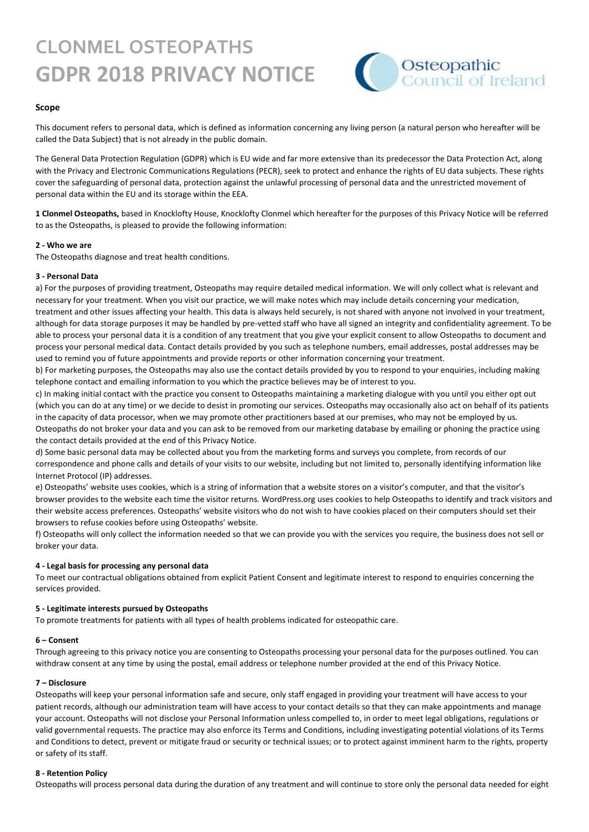# **CLONMEL OSTEOPATHS GDPR 2018 PRIVACY NOTICE**



#### **Scope**

This document refers to personal data, which is defined as information concerning any living person (a natural person who hereafter will be called the Data Subject) that is not already in the public domain.

The General Data Protection Regulation (GDPR) which is EU wide and far more extensive than its predecessor the Data Protection Act, along with the Privacy and Electronic Communications Regulations (PECR), seek to protect and enhance the rights of EU data subjects. These rights cover the safeguarding of personal data, protection against the unlawful processing of personal data and the unrestricted movement of personal data within the EU and its storage within the EEA.

**1 Clonmel Osteopaths,** based in Knocklofty House, Knocklofty Clonmel which hereafter for the purposes of this Privacy Notice will be referred to as the Osteopaths, is pleased to provide the following information:

#### **2 - Who we are**

The Osteopaths diagnose and treat health conditions.

#### **3 - Personal Data**

a) For the purposes of providing treatment, Osteopaths may require detailed medical information. We will only collect what is relevant and necessary for your treatment. When you visit our practice, we will make notes which may include details concerning your medication, treatment and other issues affecting your health. This data is always held securely, is not shared with anyone not involved in your treatment, although for data storage purposes it may be handled by pre-vetted staff who have all signed an integrity and confidentiality agreement. To be able to process your personal data it is a condition of any treatment that you give your explicit consent to allow Osteopaths to document and process your personal medical data. Contact details provided by you such as telephone numbers, email addresses, postal addresses may be used to remind you of future appointments and provide reports or other information concerning your treatment.

b) For marketing purposes, the Osteopaths may also use the contact details provided by you to respond to your enquiries, including making telephone contact and emailing information to you which the practice believes may be of interest to you.

c) In making initial contact with the practice you consent to Osteopaths maintaining a marketing dialogue with you until you either opt out (which you can do at any time) or we decide to desist in promoting our services. Osteopaths may occasionally also act on behalf of its patients in the capacity of data processor, when we may promote other practitioners based at our premises, who may not be employed by us. Osteopaths do not broker your data and you can ask to be removed from our marketing database by emailing or phoning the practice using the contact details provided at the end of this Privacy Notice.

d) Some basic personal data may be collected about you from the marketing forms and surveys you complete, from records of our correspondence and phone calls and details of your visits to our website, including but not limited to, personally identifying information like Internet Protocol (IP) addresses.

e) Osteopaths' website uses cookies, which is a string of information that a website stores on a visitor's computer, and that the visitor's browser provides to the website each time the visitor returns. WordPress.org uses cookies to help Osteopaths to identify and track visitors and their website access preferences. Osteopaths' website visitors who do not wish to have cookies placed on their computers should set their browsers to refuse cookies before using Osteopaths' website.

f) Osteopaths will only collect the information needed so that we can provide you with the services you require, the business does not sell or broker your data.

#### **4 - Legal basis for processing any personal data**

To meet our contractual obligations obtained from explicit Patient Consent and legitimate interest to respond to enquiries concerning the services provided.

#### **5 - Legitimate interests pursued by Osteopaths**

To promote treatments for patients with all types of health problems indicated for osteopathic care.

#### **6 – Consent**

Through agreeing to this privacy notice you are consenting to Osteopaths processing your personal data for the purposes outlined. You can withdraw consent at any time by using the postal, email address or telephone number provided at the end of this Privacy Notice.

#### **7 – Disclosure**

Osteopaths will keep your personal information safe and secure, only staff engaged in providing your treatment will have access to your patient records, although our administration team will have access to your contact details so that they can make appointments and manage your account. Osteopaths will not disclose your Personal Information unless compelled to, in order to meet legal obligations, regulations or valid governmental requests. The practice may also enforce its Terms and Conditions, including investigating potential violations of its Terms and Conditions to detect, prevent or mitigate fraud or security or technical issues; or to protect against imminent harm to the rights, property or safety of its staff.

#### **8 - Retention Policy**

Osteopaths will process personal data during the duration of any treatment and will continue to store only the personal data needed for eight